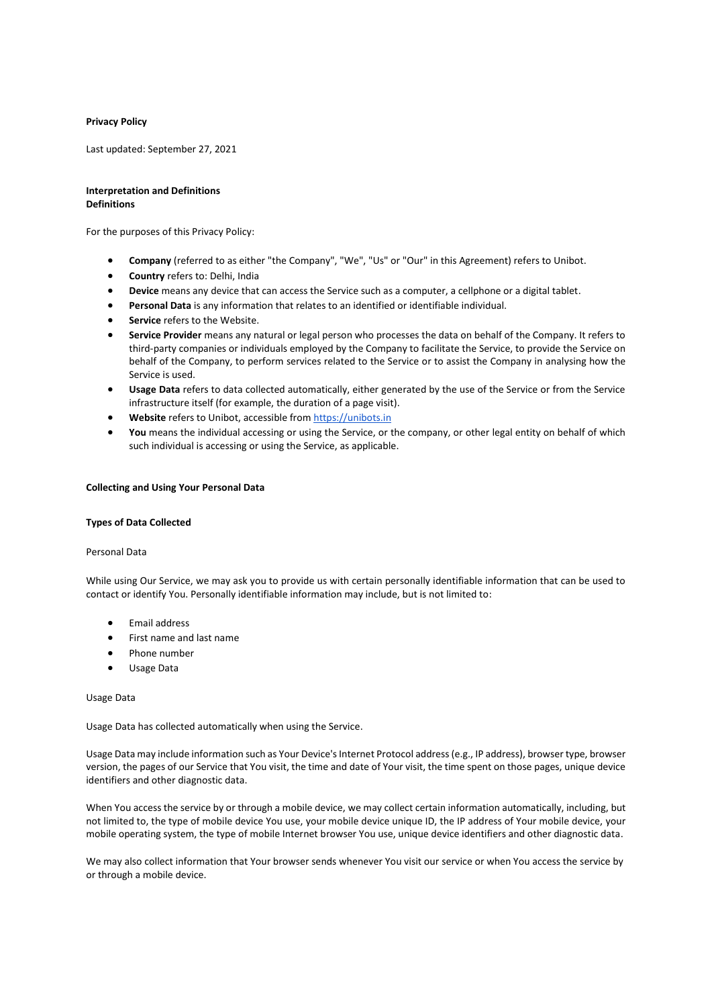## **Privacy Policy**

Last updated: September 27, 2021

#### **Interpretation and Definitions Definitions**

For the purposes of this Privacy Policy:

- **Company** (referred to as either "the Company", "We", "Us" or "Our" in this Agreement) refers to Unibot.
- **Country** refers to: Delhi, India
- **Device** means any device that can access the Service such as a computer, a cellphone or a digital tablet.
- **Personal Data** is any information that relates to an identified or identifiable individual.
- **Service** refers to the Website.
- **Service Provider** means any natural or legal person who processes the data on behalf of the Company. It refers to third-party companies or individuals employed by the Company to facilitate the Service, to provide the Service on behalf of the Company, to perform services related to the Service or to assist the Company in analysing how the Service is used.
- **Usage Data** refers to data collected automatically, either generated by the use of the Service or from the Service infrastructure itself (for example, the duration of a page visit).
- Website refers to Unibot, accessible from [https://unibots.in](https://unibots.in/)
- **You** means the individual accessing or using the Service, or the company, or other legal entity on behalf of which such individual is accessing or using the Service, as applicable.

#### **Collecting and Using Your Personal Data**

#### **Types of Data Collected**

#### Personal Data

While using Our Service, we may ask you to provide us with certain personally identifiable information that can be used to contact or identify You. Personally identifiable information may include, but is not limited to:

- Email address
- First name and last name
- Phone number
- Usage Data

#### Usage Data

Usage Data has collected automatically when using the Service.

Usage Data may include information such as Your Device's Internet Protocol address (e.g., IP address), browser type, browser version, the pages of our Service that You visit, the time and date of Your visit, the time spent on those pages, unique device identifiers and other diagnostic data.

When You access the service by or through a mobile device, we may collect certain information automatically, including, but not limited to, the type of mobile device You use, your mobile device unique ID, the IP address of Your mobile device, your mobile operating system, the type of mobile Internet browser You use, unique device identifiers and other diagnostic data.

We may also collect information that Your browser sends whenever You visit our service or when You access the service by or through a mobile device.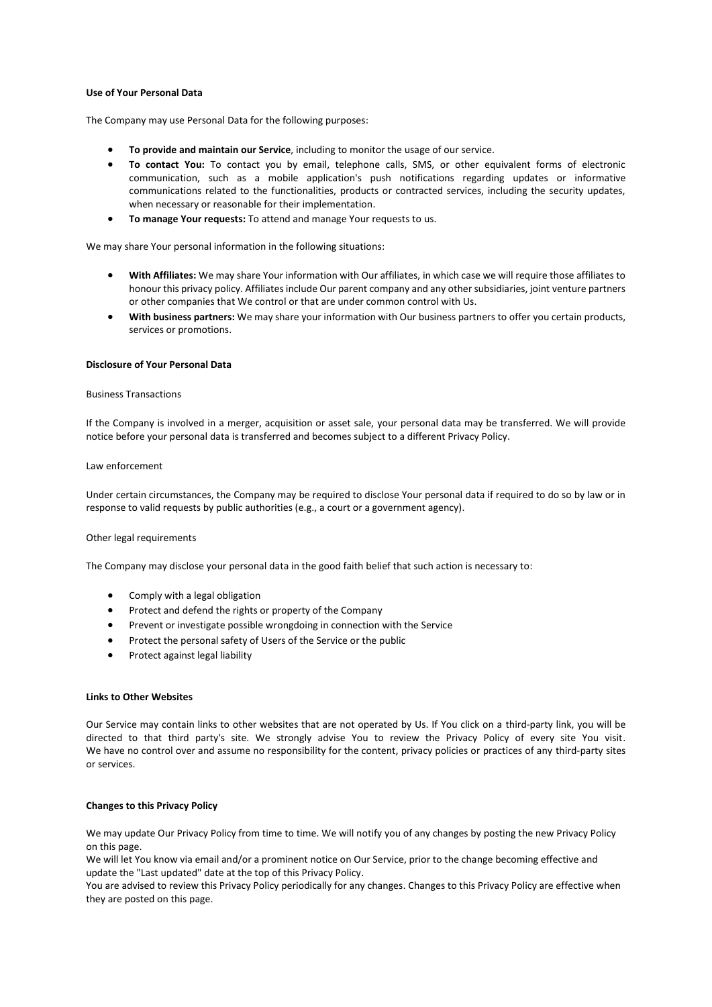## **Use of Your Personal Data**

The Company may use Personal Data for the following purposes:

- **To provide and maintain our Service**, including to monitor the usage of our service.
- **To contact You:** To contact you by email, telephone calls, SMS, or other equivalent forms of electronic communication, such as a mobile application's push notifications regarding updates or informative communications related to the functionalities, products or contracted services, including the security updates, when necessary or reasonable for their implementation.
- **To manage Your requests:** To attend and manage Your requests to us.

We may share Your personal information in the following situations:

- **With Affiliates:** We may share Your information with Our affiliates, in which case we will require those affiliates to honour this privacy policy. Affiliates include Our parent company and any other subsidiaries, joint venture partners or other companies that We control or that are under common control with Us.
- **With business partners:** We may share your information with Our business partners to offer you certain products, services or promotions.

#### **Disclosure of Your Personal Data**

#### Business Transactions

If the Company is involved in a merger, acquisition or asset sale, your personal data may be transferred. We will provide notice before your personal data is transferred and becomes subject to a different Privacy Policy.

#### Law enforcement

Under certain circumstances, the Company may be required to disclose Your personal data if required to do so by law or in response to valid requests by public authorities (e.g., a court or a government agency).

#### Other legal requirements

The Company may disclose your personal data in the good faith belief that such action is necessary to:

- Comply with a legal obligation
- Protect and defend the rights or property of the Company
- Prevent or investigate possible wrongdoing in connection with the Service
- Protect the personal safety of Users of the Service or the public
- Protect against legal liability

#### **Links to Other Websites**

Our Service may contain links to other websites that are not operated by Us. If You click on a third-party link, you will be directed to that third party's site. We strongly advise You to review the Privacy Policy of every site You visit. We have no control over and assume no responsibility for the content, privacy policies or practices of any third-party sites or services.

## **Changes to this Privacy Policy**

We may update Our Privacy Policy from time to time. We will notify you of any changes by posting the new Privacy Policy on this page.

We will let You know via email and/or a prominent notice on Our Service, prior to the change becoming effective and update the "Last updated" date at the top of this Privacy Policy.

You are advised to review this Privacy Policy periodically for any changes. Changes to this Privacy Policy are effective when they are posted on this page.